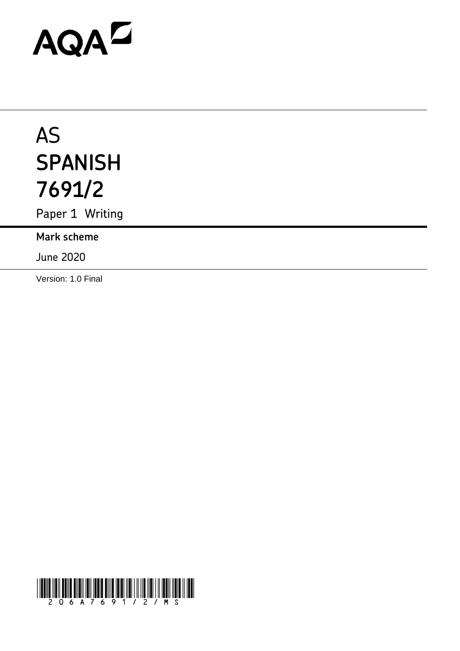# AQAZ

# AS **SPANISH 7691/2**

Paper 1 Writing

**Mark scheme**

June 2020

Version: 1.0 Final

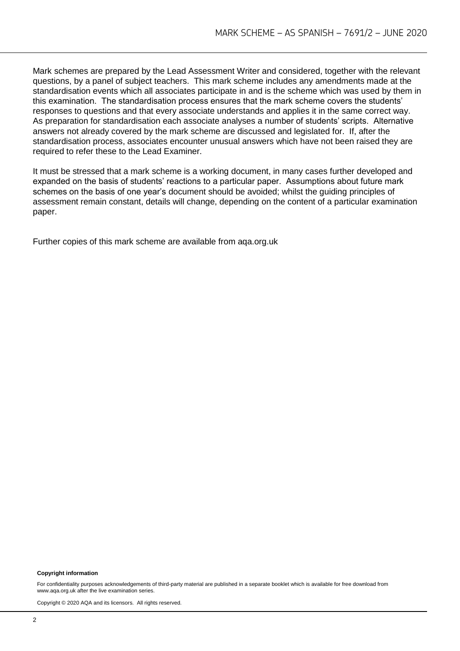Mark schemes are prepared by the Lead Assessment Writer and considered, together with the relevant questions, by a panel of subject teachers. This mark scheme includes any amendments made at the standardisation events which all associates participate in and is the scheme which was used by them in this examination. The standardisation process ensures that the mark scheme covers the students' responses to questions and that every associate understands and applies it in the same correct way. As preparation for standardisation each associate analyses a number of students' scripts. Alternative answers not already covered by the mark scheme are discussed and legislated for. If, after the standardisation process, associates encounter unusual answers which have not been raised they are required to refer these to the Lead Examiner.

It must be stressed that a mark scheme is a working document, in many cases further developed and expanded on the basis of students' reactions to a particular paper. Assumptions about future mark schemes on the basis of one year's document should be avoided; whilst the guiding principles of assessment remain constant, details will change, depending on the content of a particular examination paper.

Further copies of this mark scheme are available from aqa.org.uk

#### **Copyright information**

For confidentiality purposes acknowledgements of third-party material are published in a separate booklet which is available for free download from www.aqa.org.uk after the live examination series.

Copyright © 2020 AQA and its licensors. All rights reserved.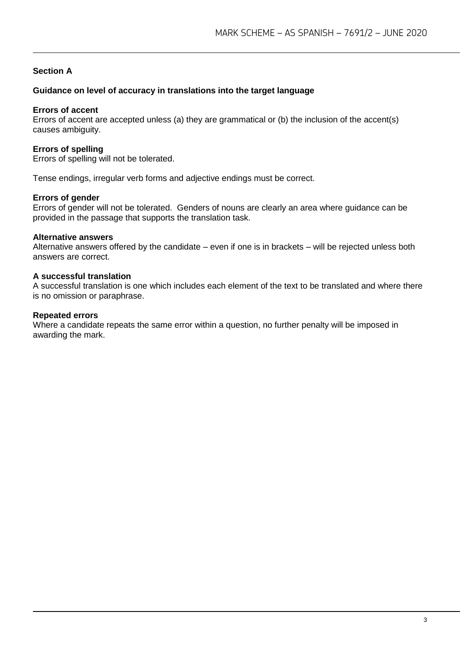#### **Section A**

#### **Guidance on level of accuracy in translations into the target language**

#### **Errors of accent**

Errors of accent are accepted unless (a) they are grammatical or (b) the inclusion of the accent(s) causes ambiguity.

#### **Errors of spelling**

Errors of spelling will not be tolerated.

Tense endings, irregular verb forms and adjective endings must be correct.

#### **Errors of gender**

Errors of gender will not be tolerated. Genders of nouns are clearly an area where guidance can be provided in the passage that supports the translation task.

#### **Alternative answers**

Alternative answers offered by the candidate – even if one is in brackets – will be rejected unless both answers are correct.

#### **A successful translation**

A successful translation is one which includes each element of the text to be translated and where there is no omission or paraphrase.

#### **Repeated errors**

Where a candidate repeats the same error within a question, no further penalty will be imposed in awarding the mark.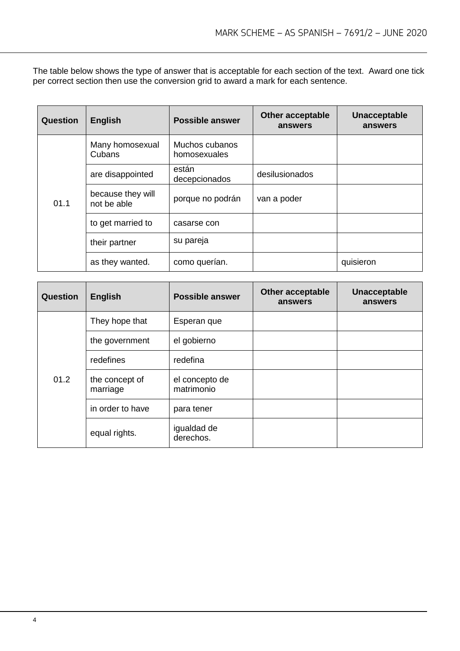The table below shows the type of answer that is acceptable for each section of the text. Award one tick per correct section then use the conversion grid to award a mark for each sentence.

| <b>Question</b> | <b>English</b>                   | <b>Possible answer</b>         | <b>Other acceptable</b><br>answers | Unacceptable<br>answers |
|-----------------|----------------------------------|--------------------------------|------------------------------------|-------------------------|
| 01.1            | Many homosexual<br>Cubans        | Muchos cubanos<br>homosexuales |                                    |                         |
|                 | are disappointed                 | están<br>decepcionados         | desilusionados                     |                         |
|                 | because they will<br>not be able | porque no podrán               | van a poder                        |                         |
|                 | to get married to                | casarse con                    |                                    |                         |
|                 | their partner                    | su pareja                      |                                    |                         |
|                 | as they wanted.                  | como querían.                  |                                    | quisieron               |

| <b>Question</b> | <b>English</b>             | <b>Possible answer</b>       | <b>Other acceptable</b><br>answers | Unacceptable<br>answers |
|-----------------|----------------------------|------------------------------|------------------------------------|-------------------------|
| 01.2            | They hope that             | Esperan que                  |                                    |                         |
|                 | the government             | el gobierno                  |                                    |                         |
|                 | redefines                  | redefina                     |                                    |                         |
|                 | the concept of<br>marriage | el concepto de<br>matrimonio |                                    |                         |
|                 | in order to have           | para tener                   |                                    |                         |
|                 | equal rights.              | igualdad de<br>derechos.     |                                    |                         |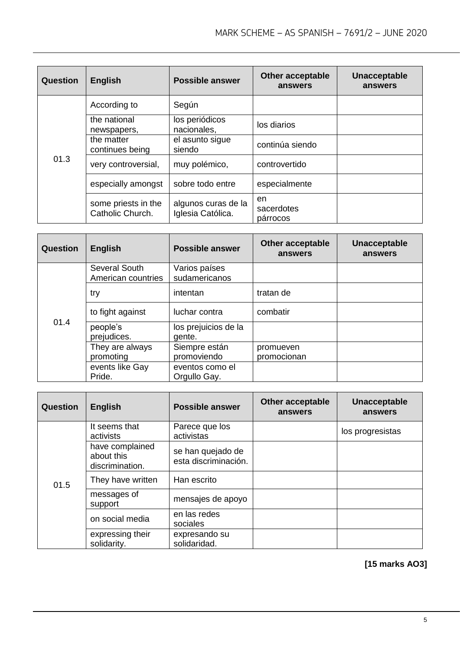| Question | <b>English</b>                          | <b>Possible answer</b>                   | <b>Other acceptable</b><br>answers | <b>Unacceptable</b><br>answers |
|----------|-----------------------------------------|------------------------------------------|------------------------------------|--------------------------------|
| 01.3     | According to                            | Según                                    |                                    |                                |
|          | the national<br>newspapers,             | los periódicos<br>nacionales,            | los diarios                        |                                |
|          | the matter<br>continues being           | el asunto sigue<br>siendo                | continúa siendo                    |                                |
|          | very controversial,                     | muy polémico,                            | controvertido                      |                                |
|          | especially amongst                      | sobre todo entre                         | especialmente                      |                                |
|          | some priests in the<br>Catholic Church. | algunos curas de la<br>Iglesia Católica. | en<br>sacerdotes<br>párrocos       |                                |

| <b>Question</b> | <b>English</b>                      | <b>Possible answer</b>          | <b>Other acceptable</b><br>answers | Unacceptable<br>answers |
|-----------------|-------------------------------------|---------------------------------|------------------------------------|-------------------------|
| 01.4            | Several South<br>American countries | Varios países<br>sudamericanos  |                                    |                         |
|                 | try                                 | intentan                        | tratan de                          |                         |
|                 | to fight against                    | luchar contra                   | combatir                           |                         |
|                 | people's<br>prejudices.             | los prejuicios de la<br>gente.  |                                    |                         |
|                 | They are always<br>promoting        | Siempre están<br>promoviendo    | promueven<br>promocionan           |                         |
|                 | events like Gay<br>Pride.           | eventos como el<br>Orgullo Gay. |                                    |                         |

| Question | <b>English</b>                                   | <b>Possible answer</b>                    | <b>Other acceptable</b><br>answers | <b>Unacceptable</b><br>answers |
|----------|--------------------------------------------------|-------------------------------------------|------------------------------------|--------------------------------|
| 01.5     | It seems that<br>activists                       | Parece que los<br>activistas              |                                    | los progresistas               |
|          | have complained<br>about this<br>discrimination. | se han quejado de<br>esta discriminación. |                                    |                                |
|          | They have written                                | Han escrito                               |                                    |                                |
|          | messages of<br>support                           | mensajes de apoyo                         |                                    |                                |
|          | on social media                                  | en las redes<br>sociales                  |                                    |                                |
|          | expressing their<br>solidarity.                  | expresando su<br>solidaridad.             |                                    |                                |

**[15 marks AO3]**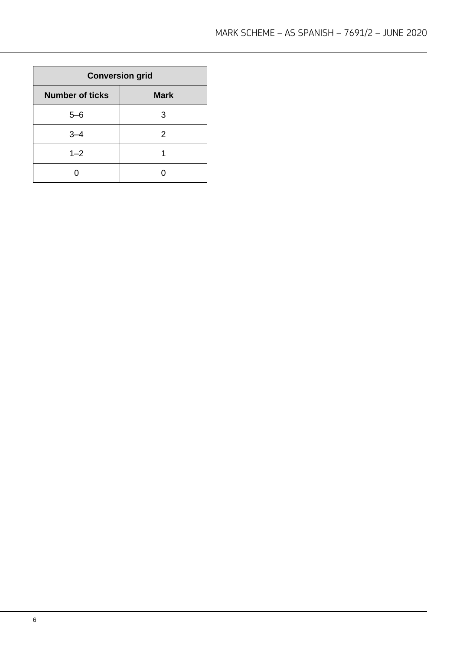| <b>Conversion grid</b> |             |  |
|------------------------|-------------|--|
| <b>Number of ticks</b> | <b>Mark</b> |  |
| $5 - 6$                | З           |  |
| $3 - 4$                | 2           |  |
| $1 - 2$                |             |  |
|                        |             |  |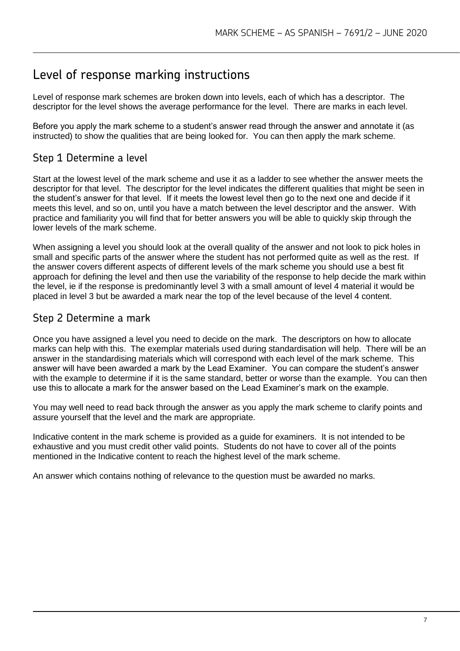# Level of response marking instructions

Level of response mark schemes are broken down into levels, each of which has a descriptor. The descriptor for the level shows the average performance for the level. There are marks in each level.

Before you apply the mark scheme to a student's answer read through the answer and annotate it (as instructed) to show the qualities that are being looked for. You can then apply the mark scheme.

# Step 1 Determine a level

Start at the lowest level of the mark scheme and use it as a ladder to see whether the answer meets the descriptor for that level. The descriptor for the level indicates the different qualities that might be seen in the student's answer for that level. If it meets the lowest level then go to the next one and decide if it meets this level, and so on, until you have a match between the level descriptor and the answer. With practice and familiarity you will find that for better answers you will be able to quickly skip through the lower levels of the mark scheme.

When assigning a level you should look at the overall quality of the answer and not look to pick holes in small and specific parts of the answer where the student has not performed quite as well as the rest. If the answer covers different aspects of different levels of the mark scheme you should use a best fit approach for defining the level and then use the variability of the response to help decide the mark within the level, ie if the response is predominantly level 3 with a small amount of level 4 material it would be placed in level 3 but be awarded a mark near the top of the level because of the level 4 content.

# Step 2 Determine a mark

Once you have assigned a level you need to decide on the mark. The descriptors on how to allocate marks can help with this. The exemplar materials used during standardisation will help. There will be an answer in the standardising materials which will correspond with each level of the mark scheme. This answer will have been awarded a mark by the Lead Examiner. You can compare the student's answer with the example to determine if it is the same standard, better or worse than the example. You can then use this to allocate a mark for the answer based on the Lead Examiner's mark on the example.

You may well need to read back through the answer as you apply the mark scheme to clarify points and assure yourself that the level and the mark are appropriate.

Indicative content in the mark scheme is provided as a guide for examiners. It is not intended to be exhaustive and you must credit other valid points. Students do not have to cover all of the points mentioned in the Indicative content to reach the highest level of the mark scheme.

An answer which contains nothing of relevance to the question must be awarded no marks.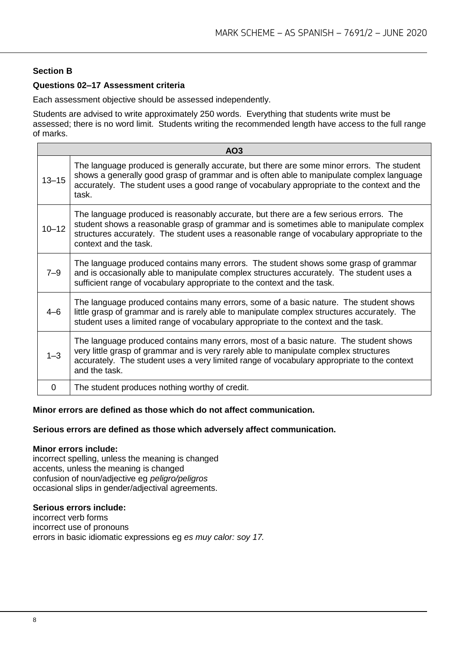#### **Section B**

#### **Questions 02–17 Assessment criteria**

Each assessment objective should be assessed independently.

Students are advised to write approximately 250 words. Everything that students write must be assessed; there is no word limit. Students writing the recommended length have access to the full range of marks.

|           | AO <sub>3</sub>                                                                                                                                                                                                                                                                                          |
|-----------|----------------------------------------------------------------------------------------------------------------------------------------------------------------------------------------------------------------------------------------------------------------------------------------------------------|
| $13 - 15$ | The language produced is generally accurate, but there are some minor errors. The student<br>shows a generally good grasp of grammar and is often able to manipulate complex language<br>accurately. The student uses a good range of vocabulary appropriate to the context and the<br>task.             |
| $10 - 12$ | The language produced is reasonably accurate, but there are a few serious errors. The<br>student shows a reasonable grasp of grammar and is sometimes able to manipulate complex<br>structures accurately. The student uses a reasonable range of vocabulary appropriate to the<br>context and the task. |
| $7 - 9$   | The language produced contains many errors. The student shows some grasp of grammar<br>and is occasionally able to manipulate complex structures accurately. The student uses a<br>sufficient range of vocabulary appropriate to the context and the task.                                               |
| $4 - 6$   | The language produced contains many errors, some of a basic nature. The student shows<br>little grasp of grammar and is rarely able to manipulate complex structures accurately. The<br>student uses a limited range of vocabulary appropriate to the context and the task.                              |
| $1 - 3$   | The language produced contains many errors, most of a basic nature. The student shows<br>very little grasp of grammar and is very rarely able to manipulate complex structures<br>accurately. The student uses a very limited range of vocabulary appropriate to the context<br>and the task.            |
| 0         | The student produces nothing worthy of credit.                                                                                                                                                                                                                                                           |

#### **Minor errors are defined as those which do not affect communication.**

#### **Serious errors are defined as those which adversely affect communication.**

#### **Minor errors include:**

incorrect spelling, unless the meaning is changed accents, unless the meaning is changed confusion of noun/adjective eg *peligro/peligros*  occasional slips in gender/adjectival agreements.

#### **Serious errors include:**

incorrect verb forms incorrect use of pronouns errors in basic idiomatic expressions eg *es muy calor: soy 17.*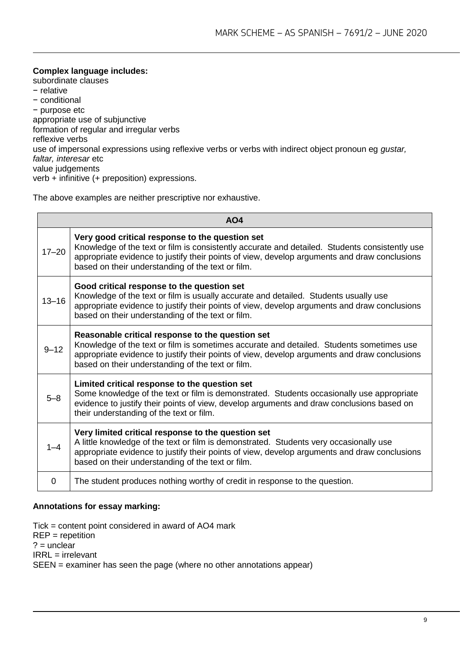**Complex language includes:**  subordinate clauses − relative − conditional − purpose etc appropriate use of subjunctive formation of regular and irregular verbs reflexive verbs use of impersonal expressions using reflexive verbs or verbs with indirect object pronoun eg *gustar, faltar, interesar* etc value judgements verb + infinitive (+ preposition) expressions.

The above examples are neither prescriptive nor exhaustive.

|           | AO <sub>4</sub>                                                                                                                                                                                                                                                                                        |
|-----------|--------------------------------------------------------------------------------------------------------------------------------------------------------------------------------------------------------------------------------------------------------------------------------------------------------|
| $17 - 20$ | Very good critical response to the question set<br>Knowledge of the text or film is consistently accurate and detailed. Students consistently use<br>appropriate evidence to justify their points of view, develop arguments and draw conclusions<br>based on their understanding of the text or film. |
| $13 - 16$ | Good critical response to the question set<br>Knowledge of the text or film is usually accurate and detailed. Students usually use<br>appropriate evidence to justify their points of view, develop arguments and draw conclusions<br>based on their understanding of the text or film.                |
| $9 - 12$  | Reasonable critical response to the question set<br>Knowledge of the text or film is sometimes accurate and detailed. Students sometimes use<br>appropriate evidence to justify their points of view, develop arguments and draw conclusions<br>based on their understanding of the text or film.      |
| $5 - 8$   | Limited critical response to the question set<br>Some knowledge of the text or film is demonstrated. Students occasionally use appropriate<br>evidence to justify their points of view, develop arguments and draw conclusions based on<br>their understanding of the text or film.                    |
| $1 - 4$   | Very limited critical response to the question set<br>A little knowledge of the text or film is demonstrated. Students very occasionally use<br>appropriate evidence to justify their points of view, develop arguments and draw conclusions<br>based on their understanding of the text or film.      |
| 0         | The student produces nothing worthy of credit in response to the question.                                                                                                                                                                                                                             |

#### **Annotations for essay marking:**

Tick = content point considered in award of AO4 mark REP = repetition  $? =$  unclear IRRL = irrelevant SEEN = examiner has seen the page (where no other annotations appear)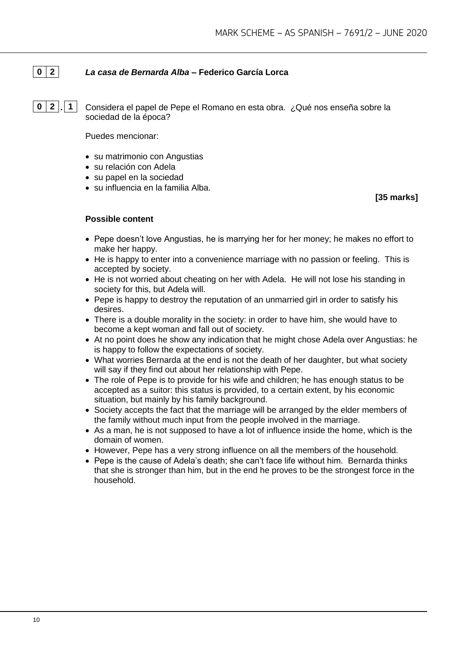# **0 2** *La casa de Bernarda Alba* **– Federico García Lorca**

**0 2 . 1** Considera el papel de Pepe el Romano en esta obra. ¿Qué nos enseña sobre la sociedad de la época?

Puedes mencionar:

- su matrimonio con Angustias
- su relación con Adela
- su papel en la sociedad
- su influencia en la familia Alba.

#### **[35 marks]**

- Pepe doesn't love Angustias, he is marrying her for her money; he makes no effort to make her happy.
- He is happy to enter into a convenience marriage with no passion or feeling. This is accepted by society.
- He is not worried about cheating on her with Adela. He will not lose his standing in society for this, but Adela will.
- Pepe is happy to destroy the reputation of an unmarried girl in order to satisfy his desires.
- There is a double morality in the society: in order to have him, she would have to become a kept woman and fall out of society.
- At no point does he show any indication that he might chose Adela over Angustias: he is happy to follow the expectations of society.
- What worries Bernarda at the end is not the death of her daughter, but what society will say if they find out about her relationship with Pepe.
- The role of Pepe is to provide for his wife and children; he has enough status to be accepted as a suitor: this status is provided, to a certain extent, by his economic situation, but mainly by his family background.
- Society accepts the fact that the marriage will be arranged by the elder members of the family without much input from the people involved in the marriage.
- As a man, he is not supposed to have a lot of influence inside the home, which is the domain of women.
- However, Pepe has a very strong influence on all the members of the household.
- Pepe is the cause of Adela's death; she can't face life without him. Bernarda thinks that she is stronger than him, but in the end he proves to be the strongest force in the household.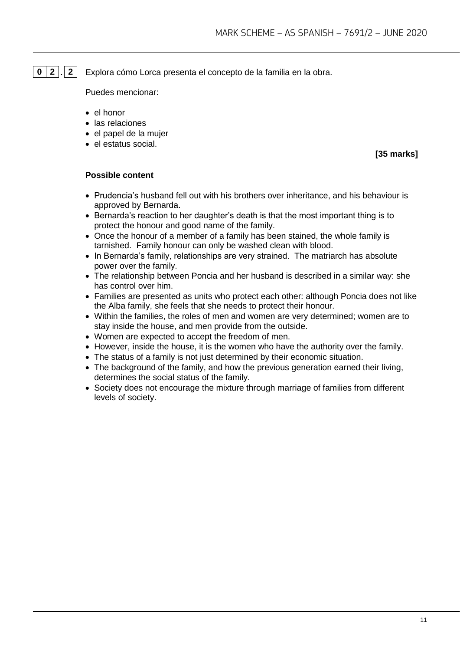# **0 2 . 2** Explora cómo Lorca presenta el concepto de la familia en la obra.

Puedes mencionar:

- el honor
- las relaciones
- el papel de la mujer
- el estatus social.

**[35 marks]**

- Prudencia's husband fell out with his brothers over inheritance, and his behaviour is approved by Bernarda.
- Bernarda's reaction to her daughter's death is that the most important thing is to protect the honour and good name of the family.
- Once the honour of a member of a family has been stained, the whole family is tarnished. Family honour can only be washed clean with blood.
- In Bernarda's family, relationships are very strained. The matriarch has absolute power over the family.
- The relationship between Poncia and her husband is described in a similar way: she has control over him.
- Families are presented as units who protect each other: although Poncia does not like the Alba family, she feels that she needs to protect their honour.
- Within the families, the roles of men and women are very determined; women are to stay inside the house, and men provide from the outside.
- Women are expected to accept the freedom of men.
- However, inside the house, it is the women who have the authority over the family.
- The status of a family is not just determined by their economic situation.
- The background of the family, and how the previous generation earned their living, determines the social status of the family.
- Society does not encourage the mixture through marriage of families from different levels of society.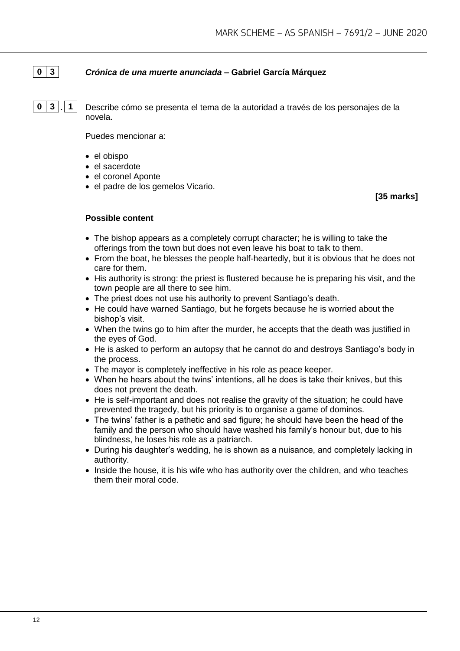# **0 3** *Crónica de una muerte anunciada* **– Gabriel García Márquez**

**0 3 . 1** Describe cómo se presenta el tema de la autoridad a través de los personajes de la novela.

Puedes mencionar a:

- el obispo
- el sacerdote
- el coronel Aponte
- el padre de los gemelos Vicario.

**[35 marks]**

- The bishop appears as a completely corrupt character; he is willing to take the offerings from the town but does not even leave his boat to talk to them.
- From the boat, he blesses the people half-heartedly, but it is obvious that he does not care for them.
- His authority is strong: the priest is flustered because he is preparing his visit, and the town people are all there to see him.
- The priest does not use his authority to prevent Santiago's death.
- He could have warned Santiago, but he forgets because he is worried about the bishop's visit.
- When the twins go to him after the murder, he accepts that the death was justified in the eyes of God.
- He is asked to perform an autopsy that he cannot do and destroys Santiago's body in the process.
- The mayor is completely ineffective in his role as peace keeper.
- When he hears about the twins' intentions, all he does is take their knives, but this does not prevent the death.
- He is self-important and does not realise the gravity of the situation; he could have prevented the tragedy, but his priority is to organise a game of dominos.
- The twins' father is a pathetic and sad figure; he should have been the head of the family and the person who should have washed his family's honour but, due to his blindness, he loses his role as a patriarch.
- During his daughter's wedding, he is shown as a nuisance, and completely lacking in authority.
- Inside the house, it is his wife who has authority over the children, and who teaches them their moral code.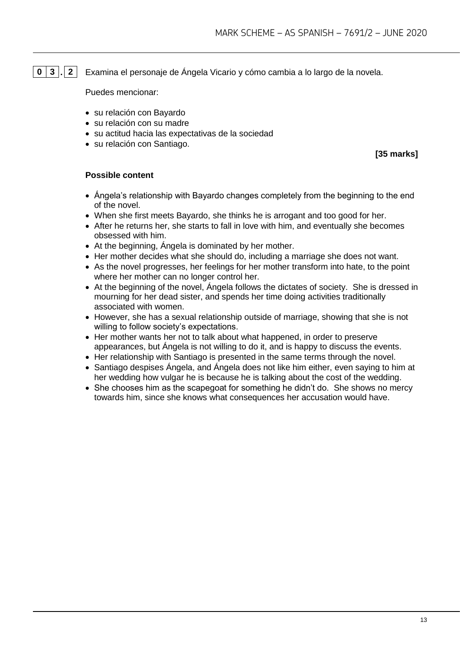**0 3 . 2** Examina el personaje de Ángela Vicario y cómo cambia a lo largo de la novela.

Puedes mencionar:

- su relación con Bayardo
- su relación con su madre
- su actitud hacia las expectativas de la sociedad
- su relación con Santiago.

**[35 marks]**

- Ángela's relationship with Bayardo changes completely from the beginning to the end of the novel.
- When she first meets Bayardo, she thinks he is arrogant and too good for her.
- After he returns her, she starts to fall in love with him, and eventually she becomes obsessed with him.
- At the beginning, Ángela is dominated by her mother.
- Her mother decides what she should do, including a marriage she does not want.
- As the novel progresses, her feelings for her mother transform into hate, to the point where her mother can no longer control her.
- At the beginning of the novel. Angela follows the dictates of society. She is dressed in mourning for her dead sister, and spends her time doing activities traditionally associated with women.
- However, she has a sexual relationship outside of marriage, showing that she is not willing to follow society's expectations.
- Her mother wants her not to talk about what happened, in order to preserve appearances, but Ángela is not willing to do it, and is happy to discuss the events.
- Her relationship with Santiago is presented in the same terms through the novel.
- Santiago despises Ángela, and Ángela does not like him either, even saying to him at her wedding how vulgar he is because he is talking about the cost of the wedding.
- She chooses him as the scapegoat for something he didn't do. She shows no mercy towards him, since she knows what consequences her accusation would have.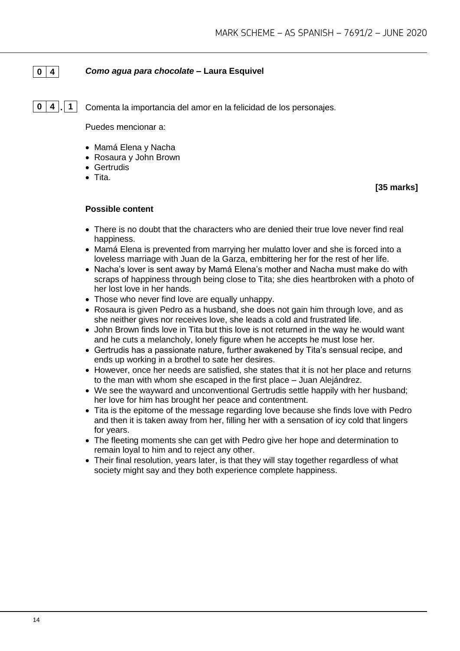# **0 4** *Como agua para chocolate* **– Laura Esquivel**

**0 4 . 1** Comenta la importancia del amor en la felicidad de los personajes.

Puedes mencionar a:

- Mamá Elena y Nacha
- Rosaura y John Brown
- Gertrudis
- Tita.

**[35 marks]**

- There is no doubt that the characters who are denied their true love never find real happiness.
- Mamá Elena is prevented from marrying her mulatto lover and she is forced into a loveless marriage with Juan de la Garza, embittering her for the rest of her life.
- Nacha's lover is sent away by Mamá Elena's mother and Nacha must make do with scraps of happiness through being close to Tita; she dies heartbroken with a photo of her lost love in her hands.
- Those who never find love are equally unhappy.
- Rosaura is given Pedro as a husband, she does not gain him through love, and as she neither gives nor receives love, she leads a cold and frustrated life.
- John Brown finds love in Tita but this love is not returned in the way he would want and he cuts a melancholy, lonely figure when he accepts he must lose her.
- Gertrudis has a passionate nature, further awakened by Tita's sensual recipe, and ends up working in a brothel to sate her desires.
- However, once her needs are satisfied, she states that it is not her place and returns to the man with whom she escaped in the first place – Juan Alejándrez.
- We see the wayward and unconventional Gertrudis settle happily with her husband: her love for him has brought her peace and contentment.
- Tita is the epitome of the message regarding love because she finds love with Pedro and then it is taken away from her, filling her with a sensation of icy cold that lingers for years.
- The fleeting moments she can get with Pedro give her hope and determination to remain loyal to him and to reject any other.
- Their final resolution, years later, is that they will stay together regardless of what society might say and they both experience complete happiness.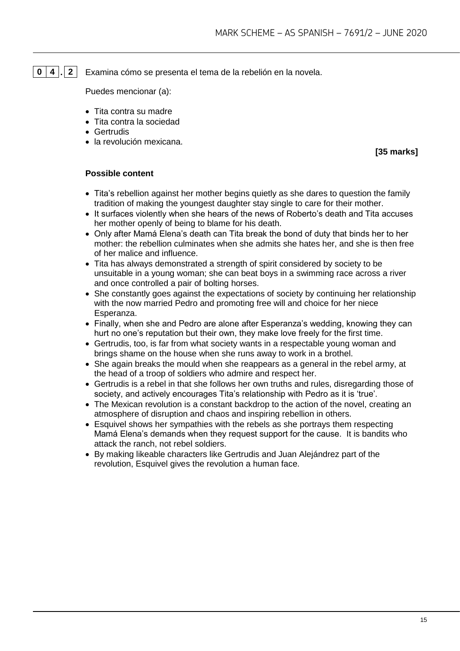# **0 4 . 2** Examina cómo se presenta el tema de la rebelión en la novela.

Puedes mencionar (a):

- Tita contra su madre
- Tita contra la sociedad
- Gertrudis
- la revolución mexicana.

**[35 marks]**

- Tita's rebellion against her mother begins quietly as she dares to question the family tradition of making the youngest daughter stay single to care for their mother.
- It surfaces violently when she hears of the news of Roberto's death and Tita accuses her mother openly of being to blame for his death.
- Only after Mamá Elena's death can Tita break the bond of duty that binds her to her mother: the rebellion culminates when she admits she hates her, and she is then free of her malice and influence.
- Tita has always demonstrated a strength of spirit considered by society to be unsuitable in a young woman; she can beat boys in a swimming race across a river and once controlled a pair of bolting horses.
- She constantly goes against the expectations of society by continuing her relationship with the now married Pedro and promoting free will and choice for her niece Esperanza.
- Finally, when she and Pedro are alone after Esperanza's wedding, knowing they can hurt no one's reputation but their own, they make love freely for the first time.
- Gertrudis, too, is far from what society wants in a respectable young woman and brings shame on the house when she runs away to work in a brothel.
- She again breaks the mould when she reappears as a general in the rebel army, at the head of a troop of soldiers who admire and respect her.
- Gertrudis is a rebel in that she follows her own truths and rules, disregarding those of society, and actively encourages Tita's relationship with Pedro as it is 'true'.
- The Mexican revolution is a constant backdrop to the action of the novel, creating an atmosphere of disruption and chaos and inspiring rebellion in others.
- Esquivel shows her sympathies with the rebels as she portrays them respecting Mamá Elena's demands when they request support for the cause. It is bandits who attack the ranch, not rebel soldiers.
- By making likeable characters like Gertrudis and Juan Alejándrez part of the revolution, Esquivel gives the revolution a human face.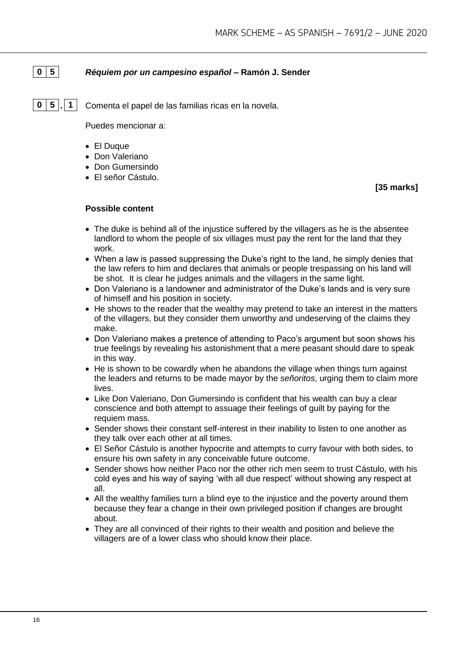# **0 5** *Réquiem por un campesino español* **– Ramón J. Sender**

**0 5 . 1** Comenta el papel de las familias ricas en la novela.

Puedes mencionar a:

- El Duque
- Don Valeriano
- Don Gumersindo
- El señor Cástulo.

**[35 marks]**

- The duke is behind all of the injustice suffered by the villagers as he is the absentee landlord to whom the people of six villages must pay the rent for the land that they work.
- When a law is passed suppressing the Duke's right to the land, he simply denies that the law refers to him and declares that animals or people trespassing on his land will be shot. It is clear he judges animals and the villagers in the same light.
- Don Valeriano is a landowner and administrator of the Duke's lands and is very sure of himself and his position in society.
- He shows to the reader that the wealthy may pretend to take an interest in the matters of the villagers, but they consider them unworthy and undeserving of the claims they make.
- Don Valeriano makes a pretence of attending to Paco's argument but soon shows his true feelings by revealing his astonishment that a mere peasant should dare to speak in this way.
- He is shown to be cowardly when he abandons the village when things turn against the leaders and returns to be made mayor by the *señoritos*, urging them to claim more lives.
- Like Don Valeriano, Don Gumersindo is confident that his wealth can buy a clear conscience and both attempt to assuage their feelings of guilt by paying for the requiem mass.
- Sender shows their constant self-interest in their inability to listen to one another as they talk over each other at all times.
- El Señor Cástulo is another hypocrite and attempts to curry favour with both sides, to ensure his own safety in any conceivable future outcome.
- Sender shows how neither Paco nor the other rich men seem to trust Cástulo, with his cold eyes and his way of saying 'with all due respect' without showing any respect at all.
- All the wealthy families turn a blind eye to the injustice and the poverty around them because they fear a change in their own privileged position if changes are brought about.
- They are all convinced of their rights to their wealth and position and believe the villagers are of a lower class who should know their place.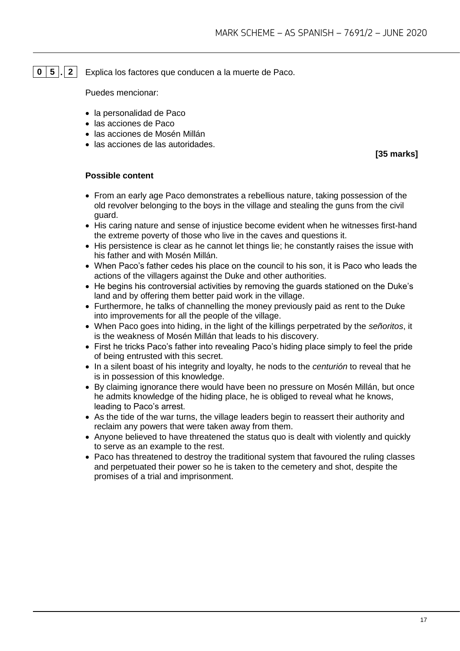# **0 5 . 2** Explica los factores que conducen a la muerte de Paco.

Puedes mencionar:

- la personalidad de Paco
- las acciones de Paco
- las acciones de Mosén Millán
- las acciones de las autoridades.

**[35 marks]**

- From an early age Paco demonstrates a rebellious nature, taking possession of the old revolver belonging to the boys in the village and stealing the guns from the civil guard.
- His caring nature and sense of injustice become evident when he witnesses first-hand the extreme poverty of those who live in the caves and questions it.
- His persistence is clear as he cannot let things lie; he constantly raises the issue with his father and with Mosén Millán.
- When Paco's father cedes his place on the council to his son, it is Paco who leads the actions of the villagers against the Duke and other authorities.
- He begins his controversial activities by removing the guards stationed on the Duke's land and by offering them better paid work in the village.
- Furthermore, he talks of channelling the money previously paid as rent to the Duke into improvements for all the people of the village.
- When Paco goes into hiding, in the light of the killings perpetrated by the *señoritos*, it is the weakness of Mosén Millán that leads to his discovery.
- First he tricks Paco's father into revealing Paco's hiding place simply to feel the pride of being entrusted with this secret.
- In a silent boast of his integrity and loyalty, he nods to the *centurión* to reveal that he is in possession of this knowledge.
- By claiming ignorance there would have been no pressure on Mosén Millán, but once he admits knowledge of the hiding place, he is obliged to reveal what he knows, leading to Paco's arrest.
- As the tide of the war turns, the village leaders begin to reassert their authority and reclaim any powers that were taken away from them.
- Anyone believed to have threatened the status quo is dealt with violently and quickly to serve as an example to the rest.
- Paco has threatened to destroy the traditional system that favoured the ruling classes and perpetuated their power so he is taken to the cemetery and shot, despite the promises of a trial and imprisonment.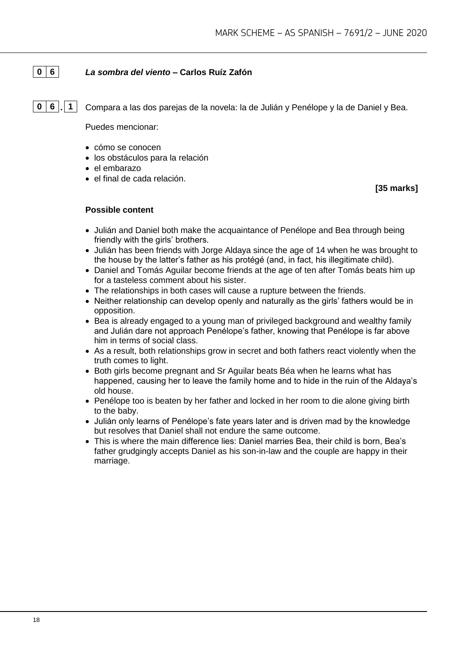# **0 6** *La sombra del viento* **– Carlos Ruíz Zafón**

**0 6 . 1** Compara a las dos parejas de la novela: la de Julián y Penélope y la de Daniel y Bea.

Puedes mencionar:

- cómo se conocen
- los obstáculos para la relación
- el embarazo
- el final de cada relación.

**[35 marks]**

- Julián and Daniel both make the acquaintance of Penélope and Bea through being friendly with the girls' brothers.
- Julián has been friends with Jorge Aldaya since the age of 14 when he was brought to the house by the latter's father as his protégé (and, in fact, his illegitimate child).
- Daniel and Tomás Aguilar become friends at the age of ten after Tomás beats him up for a tasteless comment about his sister.
- The relationships in both cases will cause a rupture between the friends.
- Neither relationship can develop openly and naturally as the girls' fathers would be in opposition.
- Bea is already engaged to a young man of privileged background and wealthy family and Julián dare not approach Penélope's father, knowing that Penélope is far above him in terms of social class.
- As a result, both relationships grow in secret and both fathers react violently when the truth comes to light.
- Both girls become pregnant and Sr Aguilar beats Béa when he learns what has happened, causing her to leave the family home and to hide in the ruin of the Aldaya's old house.
- Penélope too is beaten by her father and locked in her room to die alone giving birth to the baby.
- Julián only learns of Penélope's fate years later and is driven mad by the knowledge but resolves that Daniel shall not endure the same outcome.
- This is where the main difference lies: Daniel marries Bea, their child is born, Bea's father grudgingly accepts Daniel as his son-in-law and the couple are happy in their marriage.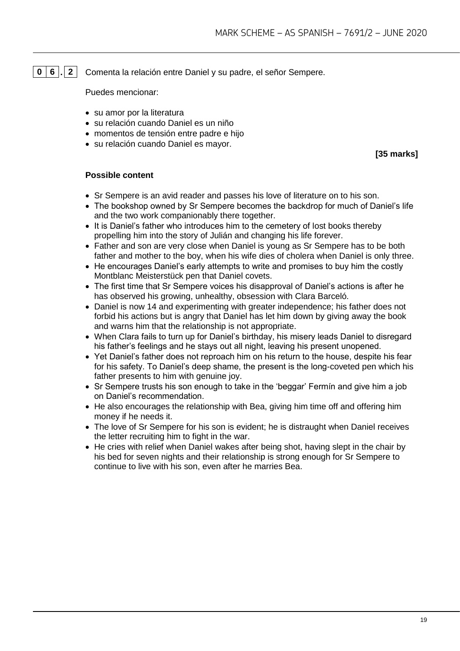**0 6 . 2** Comenta la relación entre Daniel y su padre, el señor Sempere.

Puedes mencionar:

- su amor por la literatura
- su relación cuando Daniel es un niño
- momentos de tensión entre padre e hijo
- su relación cuando Daniel es mayor.

**[35 marks]**

- Sr Sempere is an avid reader and passes his love of literature on to his son.
- The bookshop owned by Sr Sempere becomes the backdrop for much of Daniel's life and the two work companionably there together.
- It is Daniel's father who introduces him to the cemetery of lost books thereby propelling him into the story of Julián and changing his life forever.
- Father and son are very close when Daniel is young as Sr Sempere has to be both father and mother to the boy, when his wife dies of cholera when Daniel is only three.
- He encourages Daniel's early attempts to write and promises to buy him the costly Montblanc Meisterstück pen that Daniel covets.
- The first time that Sr Sempere voices his disapproval of Daniel's actions is after he has observed his growing, unhealthy, obsession with Clara Barceló.
- Daniel is now 14 and experimenting with greater independence; his father does not forbid his actions but is angry that Daniel has let him down by giving away the book and warns him that the relationship is not appropriate.
- When Clara fails to turn up for Daniel's birthday, his misery leads Daniel to disregard his father's feelings and he stays out all night, leaving his present unopened.
- Yet Daniel's father does not reproach him on his return to the house, despite his fear for his safety. To Daniel's deep shame, the present is the long-coveted pen which his father presents to him with genuine joy.
- Sr Sempere trusts his son enough to take in the 'beggar' Fermín and give him a job on Daniel's recommendation.
- He also encourages the relationship with Bea, giving him time off and offering him money if he needs it.
- The love of Sr Sempere for his son is evident; he is distraught when Daniel receives the letter recruiting him to fight in the war.
- He cries with relief when Daniel wakes after being shot, having slept in the chair by his bed for seven nights and their relationship is strong enough for Sr Sempere to continue to live with his son, even after he marries Bea.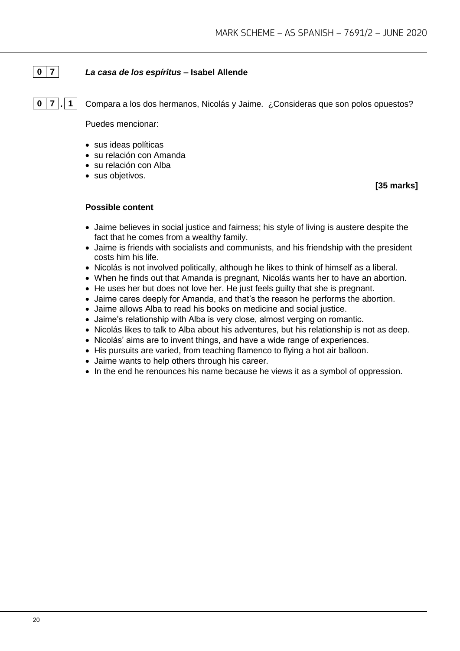# **0 7** *La casa de los espíritus* **– Isabel Allende**

**0 7 . 1** Compara a los dos hermanos, Nicolás y Jaime. ¿Consideras que son polos opuestos?

Puedes mencionar:

- sus ideas políticas
- su relación con Amanda
- su relación con Alba
- sus objetivos.

**[35 marks]**

- Jaime believes in social justice and fairness; his style of living is austere despite the fact that he comes from a wealthy family.
- Jaime is friends with socialists and communists, and his friendship with the president costs him his life.
- Nicolás is not involved politically, although he likes to think of himself as a liberal.
- When he finds out that Amanda is pregnant, Nicolás wants her to have an abortion.
- He uses her but does not love her. He just feels guilty that she is pregnant.
- Jaime cares deeply for Amanda, and that's the reason he performs the abortion.
- Jaime allows Alba to read his books on medicine and social justice.
- Jaime's relationship with Alba is very close, almost verging on romantic.
- Nicolás likes to talk to Alba about his adventures, but his relationship is not as deep.
- Nicolás' aims are to invent things, and have a wide range of experiences.
- His pursuits are varied, from teaching flamenco to flying a hot air balloon.
- Jaime wants to help others through his career.
- In the end he renounces his name because he views it as a symbol of oppression.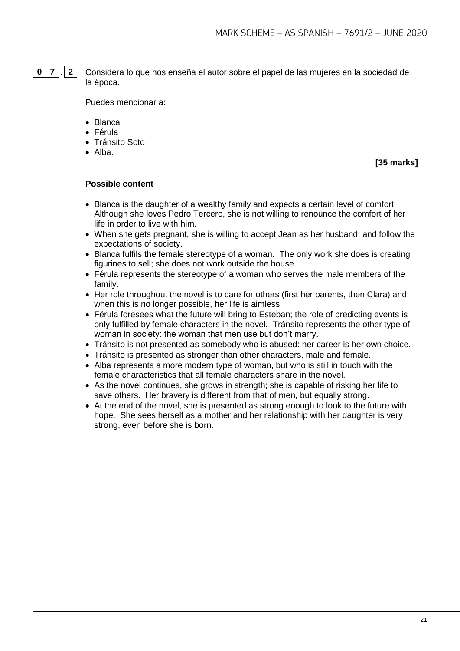**0 7 . 2** Considera lo que nos enseña el autor sobre el papel de las mujeres en la sociedad de la época.

Puedes mencionar a:

- Blanca
- Férula
- Tránsito Soto
- Alba.

**[35 marks]**

- Blanca is the daughter of a wealthy family and expects a certain level of comfort. Although she loves Pedro Tercero, she is not willing to renounce the comfort of her life in order to live with him.
- When she gets pregnant, she is willing to accept Jean as her husband, and follow the expectations of society.
- Blanca fulfils the female stereotype of a woman. The only work she does is creating figurines to sell; she does not work outside the house.
- Férula represents the stereotype of a woman who serves the male members of the family.
- Her role throughout the novel is to care for others (first her parents, then Clara) and when this is no longer possible, her life is aimless.
- Férula foresees what the future will bring to Esteban; the role of predicting events is only fulfilled by female characters in the novel. Tránsito represents the other type of woman in society: the woman that men use but don't marry.
- Tránsito is not presented as somebody who is abused: her career is her own choice.
- Tránsito is presented as stronger than other characters, male and female.
- Alba represents a more modern type of woman, but who is still in touch with the female characteristics that all female characters share in the novel.
- As the novel continues, she grows in strength; she is capable of risking her life to save others. Her bravery is different from that of men, but equally strong.
- At the end of the novel, she is presented as strong enough to look to the future with hope. She sees herself as a mother and her relationship with her daughter is very strong, even before she is born.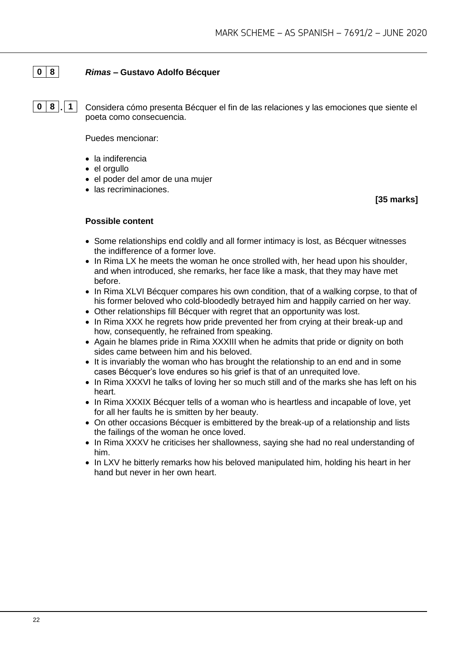# **0 8** *Rimas* **– Gustavo Adolfo Bécquer**

**0 8 . 1** Considera cómo presenta Bécquer el fin de las relaciones y las emociones que siente el poeta como consecuencia.

Puedes mencionar:

- la indiferencia
- el orgullo
- el poder del amor de una mujer
- las recriminaciones.

**[35 marks]**

- Some relationships end coldly and all former intimacy is lost, as Bécquer witnesses the indifference of a former love.
- In Rima LX he meets the woman he once strolled with, her head upon his shoulder, and when introduced, she remarks, her face like a mask, that they may have met before.
- In Rima XLVI Bécquer compares his own condition, that of a walking corpse, to that of his former beloved who cold-bloodedly betrayed him and happily carried on her way.
- Other relationships fill Bécquer with regret that an opportunity was lost.
- In Rima XXX he regrets how pride prevented her from crying at their break-up and how, consequently, he refrained from speaking.
- Again he blames pride in Rima XXXIII when he admits that pride or dignity on both sides came between him and his beloved.
- It is invariably the woman who has brought the relationship to an end and in some cases Bécquer's love endures so his grief is that of an unrequited love.
- In Rima XXXVI he talks of loving her so much still and of the marks she has left on his heart.
- In Rima XXXIX Bécquer tells of a woman who is heartless and incapable of love, yet for all her faults he is smitten by her beauty.
- On other occasions Bécquer is embittered by the break-up of a relationship and lists the failings of the woman he once loved.
- In Rima XXXV he criticises her shallowness, saying she had no real understanding of him.
- In LXV he bitterly remarks how his beloved manipulated him, holding his heart in her hand but never in her own heart.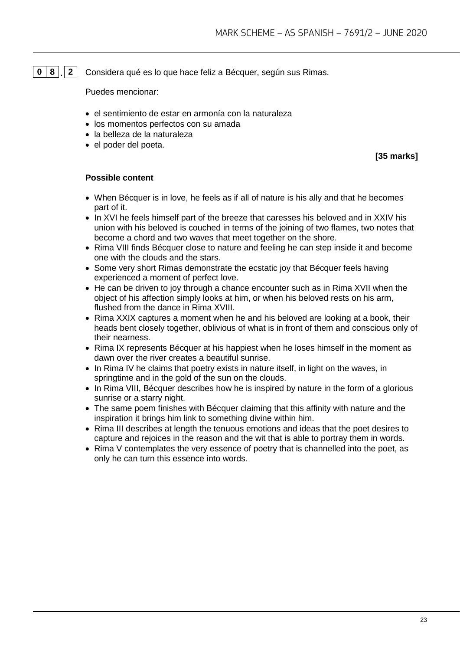# **0 8 . 2** Considera qué es lo que hace feliz a Bécquer, según sus Rimas.

Puedes mencionar:

- el sentimiento de estar en armonía con la naturaleza
- los momentos perfectos con su amada
- la belleza de la naturaleza
- el poder del poeta.

**[35 marks]**

- When Bécquer is in love, he feels as if all of nature is his ally and that he becomes part of it.
- In XVI he feels himself part of the breeze that caresses his beloved and in XXIV his union with his beloved is couched in terms of the joining of two flames, two notes that become a chord and two waves that meet together on the shore.
- Rima VIII finds Bécquer close to nature and feeling he can step inside it and become one with the clouds and the stars.
- Some very short Rimas demonstrate the ecstatic joy that Bécquer feels having experienced a moment of perfect love.
- He can be driven to joy through a chance encounter such as in Rima XVII when the object of his affection simply looks at him, or when his beloved rests on his arm, flushed from the dance in Rima XVIII.
- Rima XXIX captures a moment when he and his beloved are looking at a book, their heads bent closely together, oblivious of what is in front of them and conscious only of their nearness.
- Rima IX represents Bécquer at his happiest when he loses himself in the moment as dawn over the river creates a beautiful sunrise.
- In Rima IV he claims that poetry exists in nature itself, in light on the waves, in springtime and in the gold of the sun on the clouds.
- In Rima VIII, Bécquer describes how he is inspired by nature in the form of a glorious sunrise or a starry night.
- The same poem finishes with Bécquer claiming that this affinity with nature and the inspiration it brings him link to something divine within him.
- Rima III describes at length the tenuous emotions and ideas that the poet desires to capture and rejoices in the reason and the wit that is able to portray them in words.
- Rima V contemplates the very essence of poetry that is channelled into the poet, as only he can turn this essence into words.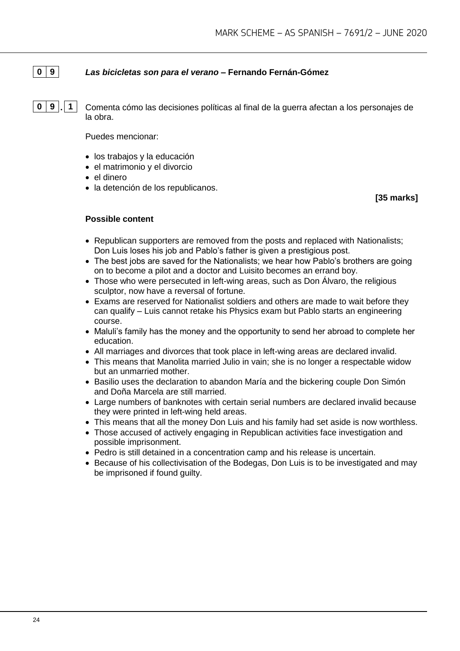# **0 9** *Las bicicletas son para el verano* **– Fernando Fernán-Gómez**

**0 9 . 1** Comenta cómo las decisiones políticas al final de la guerra afectan a los personajes de la obra.

Puedes mencionar:

- los trabajos y la educación
- el matrimonio y el divorcio
- el dinero
- la detención de los republicanos.

**[35 marks]**

- Republican supporters are removed from the posts and replaced with Nationalists; Don Luis loses his job and Pablo's father is given a prestigious post.
- The best jobs are saved for the Nationalists; we hear how Pablo's brothers are going on to become a pilot and a doctor and Luisito becomes an errand boy.
- Those who were persecuted in left-wing areas, such as Don Álvaro, the religious sculptor, now have a reversal of fortune.
- Exams are reserved for Nationalist soldiers and others are made to wait before they can qualify – Luis cannot retake his Physics exam but Pablo starts an engineering course.
- Maluli's family has the money and the opportunity to send her abroad to complete her education.
- All marriages and divorces that took place in left-wing areas are declared invalid.
- This means that Manolita married Julio in vain; she is no longer a respectable widow but an unmarried mother.
- Basilio uses the declaration to abandon María and the bickering couple Don Simón and Doña Marcela are still married.
- Large numbers of banknotes with certain serial numbers are declared invalid because they were printed in left-wing held areas.
- This means that all the money Don Luis and his family had set aside is now worthless.
- Those accused of actively engaging in Republican activities face investigation and possible imprisonment.
- Pedro is still detained in a concentration camp and his release is uncertain.
- Because of his collectivisation of the Bodegas, Don Luis is to be investigated and may be imprisoned if found guilty.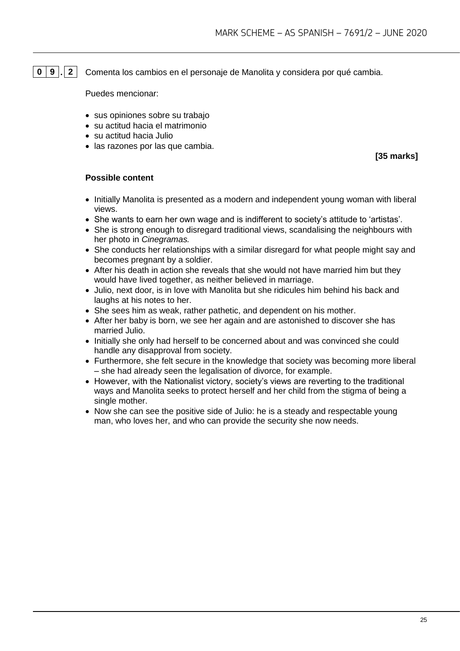**0 9 . 2** Comenta los cambios en el personaje de Manolita y considera por qué cambia.

Puedes mencionar:

- sus opiniones sobre su trabajo
- su actitud hacia el matrimonio
- su actitud hacia Julio
- las razones por las que cambia.

**[35 marks]**

- Initially Manolita is presented as a modern and independent young woman with liberal views.
- She wants to earn her own wage and is indifferent to society's attitude to 'artistas'.
- She is strong enough to disregard traditional views, scandalising the neighbours with her photo in *Cinegramas.*
- She conducts her relationships with a similar disregard for what people might say and becomes pregnant by a soldier.
- After his death in action she reveals that she would not have married him but they would have lived together, as neither believed in marriage.
- Julio, next door, is in love with Manolita but she ridicules him behind his back and laughs at his notes to her.
- She sees him as weak, rather pathetic, and dependent on his mother.
- After her baby is born, we see her again and are astonished to discover she has married Julio.
- Initially she only had herself to be concerned about and was convinced she could handle any disapproval from society.
- Furthermore, she felt secure in the knowledge that society was becoming more liberal – she had already seen the legalisation of divorce, for example.
- However, with the Nationalist victory, society's views are reverting to the traditional ways and Manolita seeks to protect herself and her child from the stigma of being a single mother.
- Now she can see the positive side of Julio: he is a steady and respectable young man, who loves her, and who can provide the security she now needs.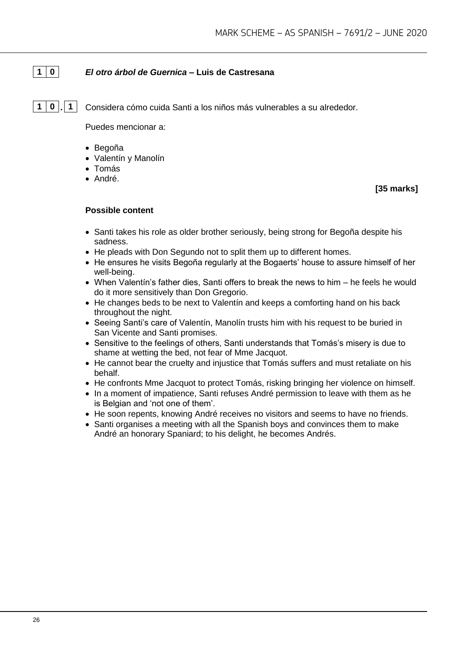# **1 0** *El otro árbol de Guernica* **– Luis de Castresana**

**1 0 . 1** Considera cómo cuida Santi a los niños más vulnerables a su alrededor.

Puedes mencionar a:

- Begoña
- Valentín y Manolín
- Tomás
- André.

**[35 marks]**

- Santi takes his role as older brother seriously, being strong for Begoña despite his sadness.
- He pleads with Don Segundo not to split them up to different homes.
- He ensures he visits Begoña regularly at the Bogaerts' house to assure himself of her well-being.
- When Valentín's father dies, Santi offers to break the news to him he feels he would do it more sensitively than Don Gregorio.
- He changes beds to be next to Valentín and keeps a comforting hand on his back throughout the night.
- Seeing Santi's care of Valentín, Manolín trusts him with his request to be buried in San Vicente and Santi promises.
- Sensitive to the feelings of others, Santi understands that Tomás's misery is due to shame at wetting the bed, not fear of Mme Jacquot.
- He cannot bear the cruelty and injustice that Tomás suffers and must retaliate on his behalf.
- He confronts Mme Jacquot to protect Tomás, risking bringing her violence on himself.
- In a moment of impatience, Santi refuses André permission to leave with them as he is Belgian and 'not one of them'.
- He soon repents, knowing André receives no visitors and seems to have no friends.
- Santi organises a meeting with all the Spanish boys and convinces them to make André an honorary Spaniard; to his delight, he becomes Andrés.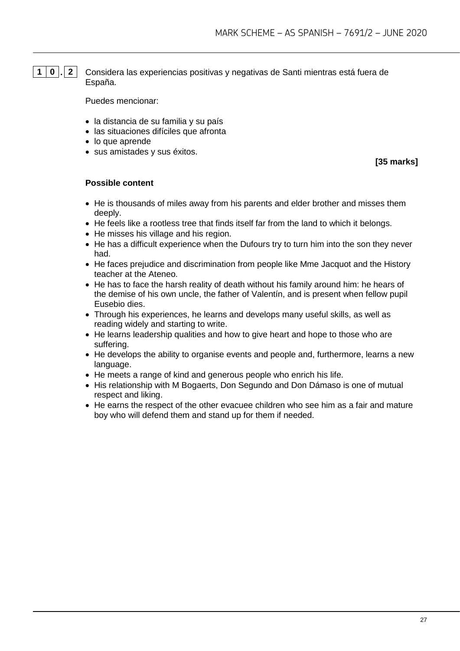**1 0 . 2** Considera las experiencias positivas y negativas de Santi mientras está fuera de España.

Puedes mencionar:

- la distancia de su familia y su país
- las situaciones difíciles que afronta
- lo que aprende
- sus amistades y sus éxitos.

**[35 marks]**

- He is thousands of miles away from his parents and elder brother and misses them deeply.
- He feels like a rootless tree that finds itself far from the land to which it belongs.
- He misses his village and his region.
- He has a difficult experience when the Dufours try to turn him into the son they never had.
- He faces prejudice and discrimination from people like Mme Jacquot and the History teacher at the Ateneo.
- He has to face the harsh reality of death without his family around him: he hears of the demise of his own uncle, the father of Valentín, and is present when fellow pupil Eusebio dies.
- Through his experiences, he learns and develops many useful skills, as well as reading widely and starting to write.
- He learns leadership qualities and how to give heart and hope to those who are suffering.
- He develops the ability to organise events and people and, furthermore, learns a new language.
- He meets a range of kind and generous people who enrich his life.
- His relationship with M Bogaerts, Don Segundo and Don Dámaso is one of mutual respect and liking.
- He earns the respect of the other evacuee children who see him as a fair and mature boy who will defend them and stand up for them if needed.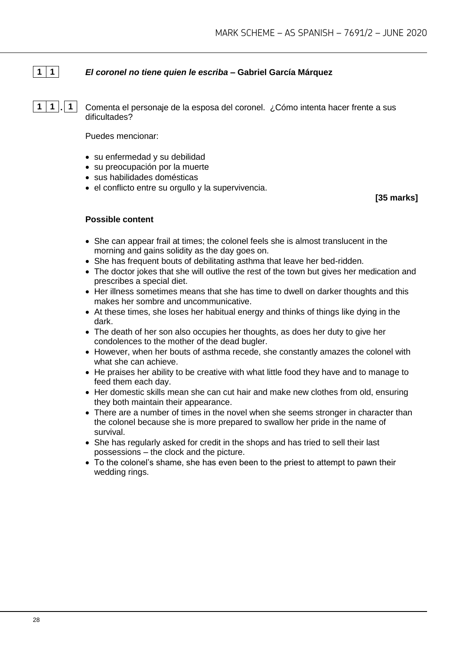# **1 1** *El coronel no tiene quien le escriba* **– Gabriel García Márquez**

**1 1 . 1** Comenta el personaje de la esposa del coronel. ¿Cómo intenta hacer frente a sus dificultades?

Puedes mencionar:

- su enfermedad y su debilidad
- su preocupación por la muerte
- sus habilidades domésticas
- el conflicto entre su orgullo y la supervivencia.

**[35 marks]**

- She can appear frail at times; the colonel feels she is almost translucent in the morning and gains solidity as the day goes on.
- She has frequent bouts of debilitating asthma that leave her bed-ridden.
- The doctor jokes that she will outlive the rest of the town but gives her medication and prescribes a special diet.
- Her illness sometimes means that she has time to dwell on darker thoughts and this makes her sombre and uncommunicative.
- At these times, she loses her habitual energy and thinks of things like dying in the dark.
- The death of her son also occupies her thoughts, as does her duty to give her condolences to the mother of the dead bugler.
- However, when her bouts of asthma recede, she constantly amazes the colonel with what she can achieve.
- He praises her ability to be creative with what little food they have and to manage to feed them each day.
- Her domestic skills mean she can cut hair and make new clothes from old, ensuring they both maintain their appearance.
- There are a number of times in the novel when she seems stronger in character than the colonel because she is more prepared to swallow her pride in the name of survival.
- She has regularly asked for credit in the shops and has tried to sell their last possessions – the clock and the picture.
- To the colonel's shame, she has even been to the priest to attempt to pawn their wedding rings.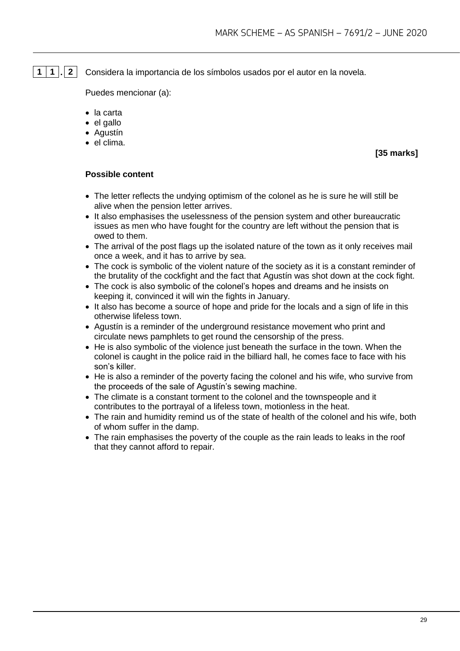**1 1 . 2** Considera la importancia de los símbolos usados por el autor en la novela.

Puedes mencionar (a):

- la carta
- el gallo
- Agustín
- el clima.

**[35 marks]**

- The letter reflects the undying optimism of the colonel as he is sure he will still be alive when the pension letter arrives.
- It also emphasises the uselessness of the pension system and other bureaucratic issues as men who have fought for the country are left without the pension that is owed to them.
- The arrival of the post flags up the isolated nature of the town as it only receives mail once a week, and it has to arrive by sea.
- The cock is symbolic of the violent nature of the society as it is a constant reminder of the brutality of the cockfight and the fact that Agustín was shot down at the cock fight.
- The cock is also symbolic of the colonel's hopes and dreams and he insists on keeping it, convinced it will win the fights in January.
- It also has become a source of hope and pride for the locals and a sign of life in this otherwise lifeless town.
- Agustín is a reminder of the underground resistance movement who print and circulate news pamphlets to get round the censorship of the press.
- He is also symbolic of the violence just beneath the surface in the town. When the colonel is caught in the police raid in the billiard hall, he comes face to face with his son's killer.
- He is also a reminder of the poverty facing the colonel and his wife, who survive from the proceeds of the sale of Agustín's sewing machine.
- The climate is a constant torment to the colonel and the townspeople and it contributes to the portrayal of a lifeless town, motionless in the heat.
- The rain and humidity remind us of the state of health of the colonel and his wife, both of whom suffer in the damp.
- The rain emphasises the poverty of the couple as the rain leads to leaks in the roof that they cannot afford to repair.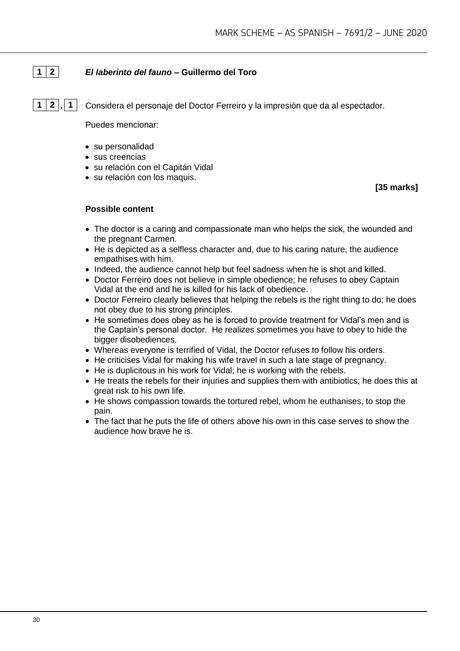# **1 2** *El laberinto del fauno* **– Guillermo del Toro**

**1 2 . 1** Considera el personaje del Doctor Ferreiro y la impresión que da al espectador.

Puedes mencionar:

- su personalidad
- sus creencias
- su relación con el Capitán Vidal
- su relación con los maquis.

**[35 marks]**

- The doctor is a caring and compassionate man who helps the sick, the wounded and the pregnant Carmen.
- He is depicted as a selfless character and, due to his caring nature, the audience empathises with him.
- Indeed, the audience cannot help but feel sadness when he is shot and killed.
- Doctor Ferreiro does not believe in simple obedience; he refuses to obey Captain Vidal at the end and he is killed for his lack of obedience.
- Doctor Ferreiro clearly believes that helping the rebels is the right thing to do; he does not obey due to his strong principles.
- He sometimes does obey as he is forced to provide treatment for Vidal's men and is the Captain's personal doctor. He realizes sometimes you have to obey to hide the bigger disobediences.
- Whereas everyone is terrified of Vidal, the Doctor refuses to follow his orders.
- He criticises Vidal for making his wife travel in such a late stage of pregnancy.
- He is duplicitous in his work for Vidal; he is working with the rebels.
- He treats the rebels for their injuries and supplies them with antibiotics; he does this at great risk to his own life.
- He shows compassion towards the tortured rebel, whom he euthanises, to stop the pain.
- The fact that he puts the life of others above his own in this case serves to show the audience how brave he is.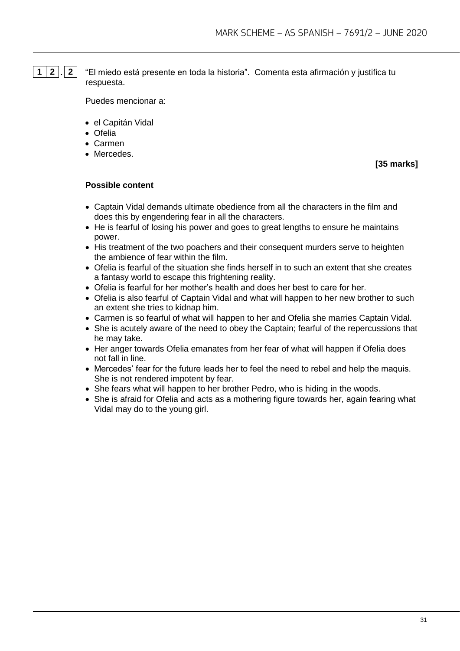**1 2 . 2** "El miedo está presente en toda la historia". Comenta esta afirmación y justifica tu respuesta.

Puedes mencionar a:

- el Capitán Vidal
- Ofelia
- Carmen
- Mercedes.

**[35 marks]**

- Captain Vidal demands ultimate obedience from all the characters in the film and does this by engendering fear in all the characters.
- He is fearful of losing his power and goes to great lengths to ensure he maintains power.
- His treatment of the two poachers and their consequent murders serve to heighten the ambience of fear within the film.
- Ofelia is fearful of the situation she finds herself in to such an extent that she creates a fantasy world to escape this frightening reality.
- Ofelia is fearful for her mother's health and does her best to care for her.
- Ofelia is also fearful of Captain Vidal and what will happen to her new brother to such an extent she tries to kidnap him.
- Carmen is so fearful of what will happen to her and Ofelia she marries Captain Vidal.
- She is acutely aware of the need to obey the Captain; fearful of the repercussions that he may take.
- Her anger towards Ofelia emanates from her fear of what will happen if Ofelia does not fall in line.
- Mercedes' fear for the future leads her to feel the need to rebel and help the maquis. She is not rendered impotent by fear.
- She fears what will happen to her brother Pedro, who is hiding in the woods.
- She is afraid for Ofelia and acts as a mothering figure towards her, again fearing what Vidal may do to the young girl.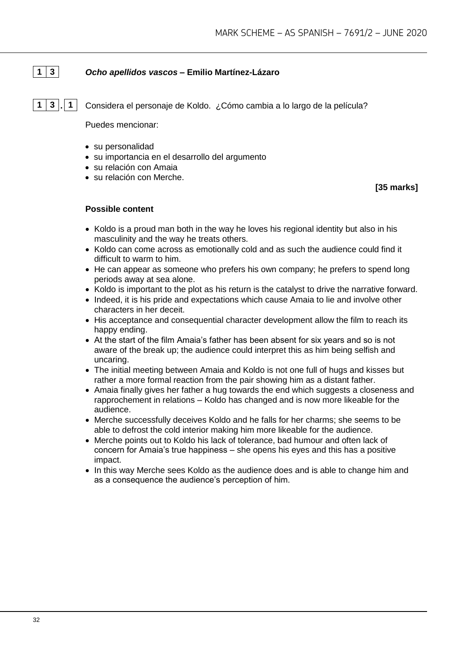# **1 3** *Ocho apellidos vascos –* **Emilio Martínez-Lázaro**

**1 3 . 1** Considera el personaje de Koldo. ¿Cómo cambia a lo largo de la película?

Puedes mencionar:

- su personalidad
- su importancia en el desarrollo del argumento
- su relación con Amaia
- su relación con Merche.

**[35 marks]**

- Koldo is a proud man both in the way he loves his regional identity but also in his masculinity and the way he treats others.
- Koldo can come across as emotionally cold and as such the audience could find it difficult to warm to him.
- He can appear as someone who prefers his own company; he prefers to spend long periods away at sea alone.
- Koldo is important to the plot as his return is the catalyst to drive the narrative forward.
- Indeed, it is his pride and expectations which cause Amaia to lie and involve other characters in her deceit.
- His acceptance and consequential character development allow the film to reach its happy ending.
- At the start of the film Amaia's father has been absent for six years and so is not aware of the break up; the audience could interpret this as him being selfish and uncaring.
- The initial meeting between Amaia and Koldo is not one full of hugs and kisses but rather a more formal reaction from the pair showing him as a distant father.
- Amaia finally gives her father a hug towards the end which suggests a closeness and rapprochement in relations – Koldo has changed and is now more likeable for the audience.
- Merche successfully deceives Koldo and he falls for her charms; she seems to be able to defrost the cold interior making him more likeable for the audience.
- Merche points out to Koldo his lack of tolerance, bad humour and often lack of concern for Amaia's true happiness – she opens his eyes and this has a positive impact.
- In this way Merche sees Koldo as the audience does and is able to change him and as a consequence the audience's perception of him.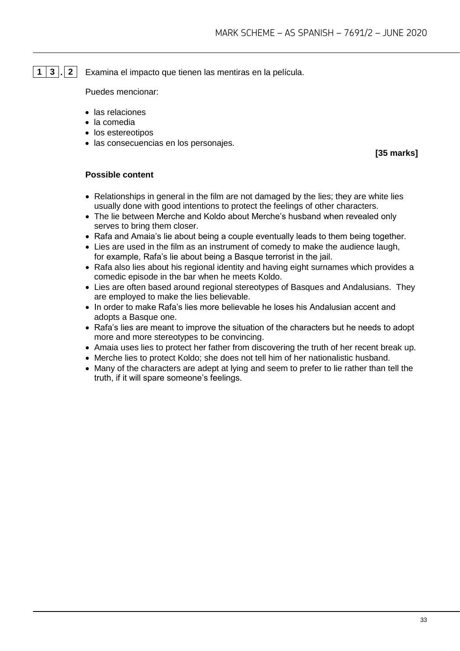**1 3 . 2** Examina el impacto que tienen las mentiras en la película.

Puedes mencionar:

- las relaciones
- la comedia
- los estereotipos
- las consecuencias en los personajes.

**[35 marks]**

- Relationships in general in the film are not damaged by the lies; they are white lies usually done with good intentions to protect the feelings of other characters.
- The lie between Merche and Koldo about Merche's husband when revealed only serves to bring them closer.
- Rafa and Amaia's lie about being a couple eventually leads to them being together.
- Lies are used in the film as an instrument of comedy to make the audience laugh, for example, Rafa's lie about being a Basque terrorist in the jail.
- Rafa also lies about his regional identity and having eight surnames which provides a comedic episode in the bar when he meets Koldo.
- Lies are often based around regional stereotypes of Basques and Andalusians. They are employed to make the lies believable.
- In order to make Rafa's lies more believable he loses his Andalusian accent and adopts a Basque one.
- Rafa's lies are meant to improve the situation of the characters but he needs to adopt more and more stereotypes to be convincing.
- Amaia uses lies to protect her father from discovering the truth of her recent break up.
- Merche lies to protect Koldo; she does not tell him of her nationalistic husband.
- Many of the characters are adept at Iving and seem to prefer to lie rather than tell the truth, if it will spare someone's feelings.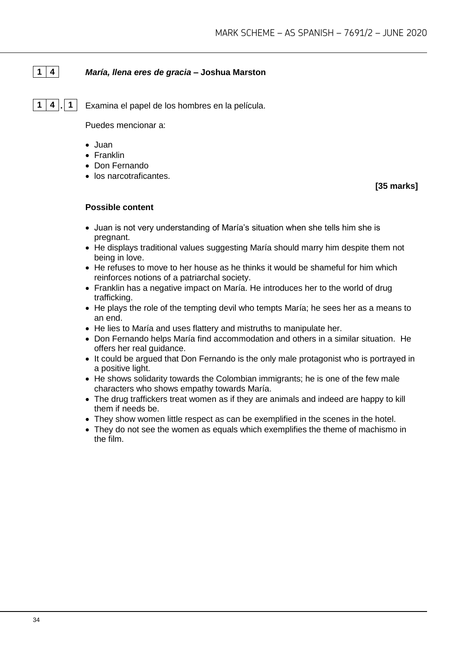# **1 4** *María, llena eres de gracia* **– Joshua Marston**

**1 4 . 1** Examina el papel de los hombres en la película.

Puedes mencionar a:

- Juan
- Franklin
- Don Fernando
- los narcotraficantes.

**[35 marks]**

- Juan is not very understanding of María's situation when she tells him she is pregnant.
- He displays traditional values suggesting María should marry him despite them not being in love.
- He refuses to move to her house as he thinks it would be shameful for him which reinforces notions of a patriarchal society.
- Franklin has a negative impact on María. He introduces her to the world of drug trafficking.
- He plays the role of the tempting devil who tempts María; he sees her as a means to an end.
- He lies to María and uses flattery and mistruths to manipulate her.
- Don Fernando helps María find accommodation and others in a similar situation. He offers her real guidance.
- It could be argued that Don Fernando is the only male protagonist who is portrayed in a positive light.
- He shows solidarity towards the Colombian immigrants; he is one of the few male characters who shows empathy towards María.
- The drug traffickers treat women as if they are animals and indeed are happy to kill them if needs be.
- They show women little respect as can be exemplified in the scenes in the hotel.
- They do not see the women as equals which exemplifies the theme of machismo in the film.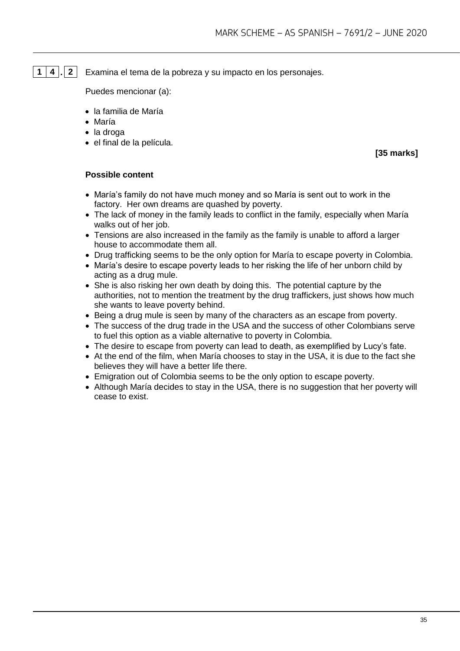# **1 4 . 2** Examina el tema de la pobreza y su impacto en los personajes.

Puedes mencionar (a):

- la familia de María
- María
- la droga
- el final de la película.

**[35 marks]**

- María's family do not have much money and so María is sent out to work in the factory. Her own dreams are quashed by poverty.
- The lack of money in the family leads to conflict in the family, especially when María walks out of her job.
- Tensions are also increased in the family as the family is unable to afford a larger house to accommodate them all.
- Drug trafficking seems to be the only option for María to escape poverty in Colombia.
- María's desire to escape poverty leads to her risking the life of her unborn child by acting as a drug mule.
- She is also risking her own death by doing this. The potential capture by the authorities, not to mention the treatment by the drug traffickers, just shows how much she wants to leave poverty behind.
- Being a drug mule is seen by many of the characters as an escape from poverty.
- The success of the drug trade in the USA and the success of other Colombians serve to fuel this option as a viable alternative to poverty in Colombia.
- The desire to escape from poverty can lead to death, as exemplified by Lucy's fate.
- At the end of the film, when María chooses to stay in the USA, it is due to the fact she believes they will have a better life there.
- Emigration out of Colombia seems to be the only option to escape poverty.
- Although María decides to stay in the USA, there is no suggestion that her poverty will cease to exist.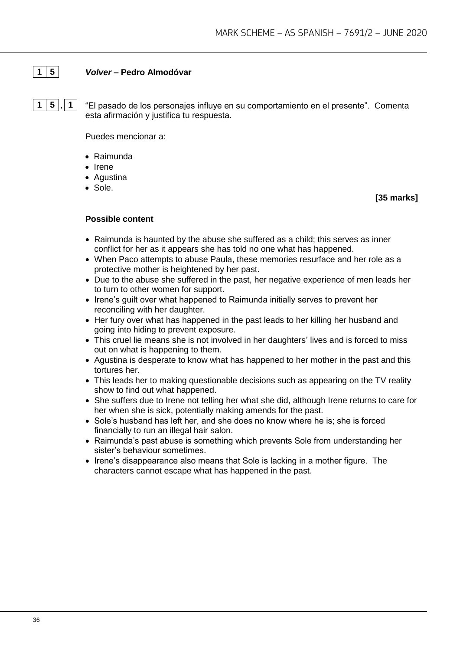# **1 5** *Volver* **– Pedro Almodóvar**

**1 5 . 1** "El pasado de los personajes influye en su comportamiento en el presente". Comenta esta afirmación y justifica tu respuesta.

Puedes mencionar a:

- Raimunda
- Irene
- Agustina
- Sole.

**[35 marks]**

- Raimunda is haunted by the abuse she suffered as a child; this serves as inner conflict for her as it appears she has told no one what has happened.
- When Paco attempts to abuse Paula, these memories resurface and her role as a protective mother is heightened by her past.
- Due to the abuse she suffered in the past, her negative experience of men leads her to turn to other women for support.
- Irene's guilt over what happened to Raimunda initially serves to prevent her reconciling with her daughter.
- Her fury over what has happened in the past leads to her killing her husband and going into hiding to prevent exposure.
- This cruel lie means she is not involved in her daughters' lives and is forced to miss out on what is happening to them.
- Agustina is desperate to know what has happened to her mother in the past and this tortures her.
- This leads her to making questionable decisions such as appearing on the TV reality show to find out what happened.
- She suffers due to Irene not telling her what she did, although Irene returns to care for her when she is sick, potentially making amends for the past.
- Sole's husband has left her, and she does no know where he is; she is forced financially to run an illegal hair salon.
- Raimunda's past abuse is something which prevents Sole from understanding her sister's behaviour sometimes.
- Irene's disappearance also means that Sole is lacking in a mother figure. The characters cannot escape what has happened in the past.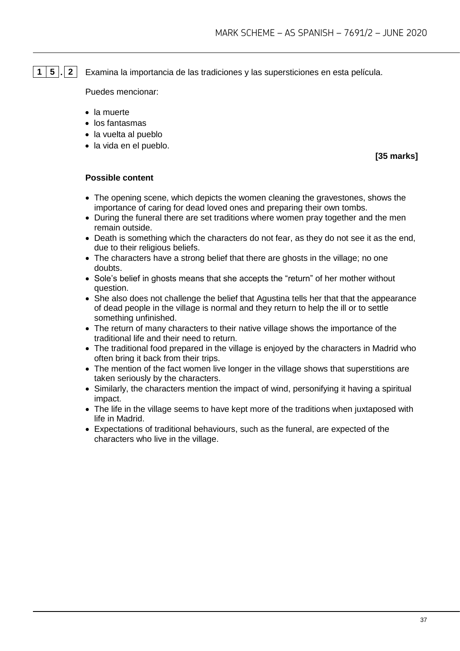**1 5 . 2** Examina la importancia de las tradiciones y las supersticiones en esta película.

Puedes mencionar:

- la muerte
- los fantasmas
- la vuelta al pueblo
- la vida en el pueblo.

**[35 marks]**

- The opening scene, which depicts the women cleaning the gravestones, shows the importance of caring for dead loved ones and preparing their own tombs.
- During the funeral there are set traditions where women pray together and the men remain outside.
- Death is something which the characters do not fear, as they do not see it as the end, due to their religious beliefs.
- The characters have a strong belief that there are ghosts in the village; no one doubts.
- Sole's belief in ghosts means that she accepts the "return" of her mother without question.
- She also does not challenge the belief that Agustina tells her that that the appearance of dead people in the village is normal and they return to help the ill or to settle something unfinished.
- The return of many characters to their native village shows the importance of the traditional life and their need to return.
- The traditional food prepared in the village is enjoyed by the characters in Madrid who often bring it back from their trips.
- The mention of the fact women live longer in the village shows that superstitions are taken seriously by the characters.
- Similarly, the characters mention the impact of wind, personifying it having a spiritual impact.
- The life in the village seems to have kept more of the traditions when juxtaposed with life in Madrid.
- Expectations of traditional behaviours, such as the funeral, are expected of the characters who live in the village.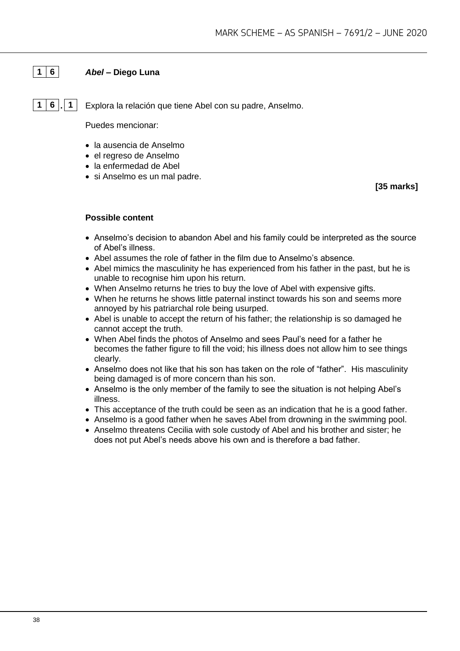# **1 6** *Abel* **– Diego Luna**

**1 6 . 1** Explora la relación que tiene Abel con su padre, Anselmo.

Puedes mencionar:

- la ausencia de Anselmo
- el regreso de Anselmo
- la enfermedad de Abel
- si Anselmo es un mal padre.

**[35 marks]**

- Anselmo's decision to abandon Abel and his family could be interpreted as the source of Abel's illness.
- Abel assumes the role of father in the film due to Anselmo's absence.
- Abel mimics the masculinity he has experienced from his father in the past, but he is unable to recognise him upon his return.
- When Anselmo returns he tries to buy the love of Abel with expensive gifts.
- When he returns he shows little paternal instinct towards his son and seems more annoyed by his patriarchal role being usurped.
- Abel is unable to accept the return of his father; the relationship is so damaged he cannot accept the truth.
- When Abel finds the photos of Anselmo and sees Paul's need for a father he becomes the father figure to fill the void; his illness does not allow him to see things clearly.
- Anselmo does not like that his son has taken on the role of "father". His masculinity being damaged is of more concern than his son.
- Anselmo is the only member of the family to see the situation is not helping Abel's illness.
- This acceptance of the truth could be seen as an indication that he is a good father.
- Anselmo is a good father when he saves Abel from drowning in the swimming pool.
- Anselmo threatens Cecilia with sole custody of Abel and his brother and sister; he does not put Abel's needs above his own and is therefore a bad father.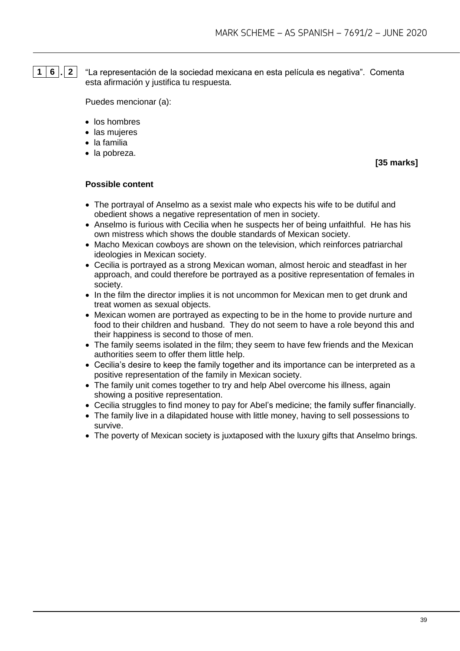**1 6 . 2** "La representación de la sociedad mexicana en esta película es negativa". Comenta esta afirmación y justifica tu respuesta.

Puedes mencionar (a):

- los hombres
- las mujeres
- la familia
- la pobreza.

**[35 marks]**

- The portrayal of Anselmo as a sexist male who expects his wife to be dutiful and obedient shows a negative representation of men in society.
- Anselmo is furious with Cecilia when he suspects her of being unfaithful. He has his own mistress which shows the double standards of Mexican society.
- Macho Mexican cowboys are shown on the television, which reinforces patriarchal ideologies in Mexican society.
- Cecilia is portrayed as a strong Mexican woman, almost heroic and steadfast in her approach, and could therefore be portrayed as a positive representation of females in society.
- In the film the director implies it is not uncommon for Mexican men to get drunk and treat women as sexual objects.
- Mexican women are portrayed as expecting to be in the home to provide nurture and food to their children and husband. They do not seem to have a role beyond this and their happiness is second to those of men.
- The family seems isolated in the film; they seem to have few friends and the Mexican authorities seem to offer them little help.
- Cecilia's desire to keep the family together and its importance can be interpreted as a positive representation of the family in Mexican society.
- The family unit comes together to try and help Abel overcome his illness, again showing a positive representation.
- Cecilia struggles to find money to pay for Abel's medicine; the family suffer financially.
- The family live in a dilapidated house with little money, having to sell possessions to survive.
- The poverty of Mexican society is juxtaposed with the luxury gifts that Anselmo brings.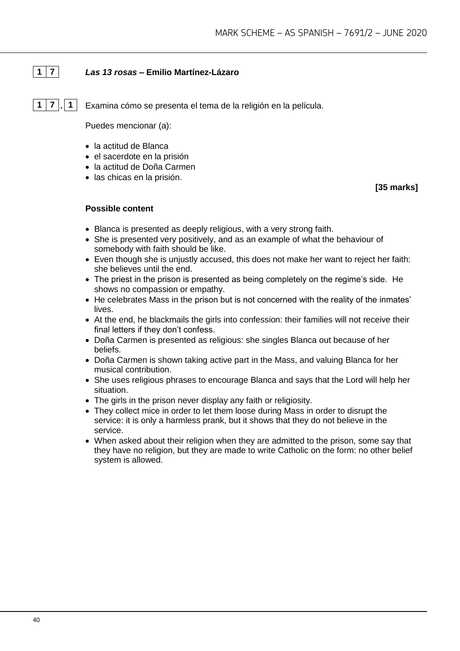# **1 7** *Las 13 rosas* **– Emilio Martínez-Lázaro**

**1 7 . 1** Examina cómo se presenta el tema de la religión en la película.

Puedes mencionar (a):

- la actitud de Blanca
- el sacerdote en la prisión
- la actitud de Doña Carmen
- las chicas en la prisión.

**[35 marks]**

- Blanca is presented as deeply religious, with a very strong faith.
- She is presented very positively, and as an example of what the behaviour of somebody with faith should be like.
- Even though she is unjustly accused, this does not make her want to reject her faith: she believes until the end.
- The priest in the prison is presented as being completely on the regime's side. He shows no compassion or empathy.
- He celebrates Mass in the prison but is not concerned with the reality of the inmates' lives.
- At the end, he blackmails the girls into confession: their families will not receive their final letters if they don't confess.
- Doña Carmen is presented as religious: she singles Blanca out because of her beliefs.
- Doña Carmen is shown taking active part in the Mass, and valuing Blanca for her musical contribution.
- She uses religious phrases to encourage Blanca and says that the Lord will help her situation.
- The girls in the prison never display any faith or religiosity.
- They collect mice in order to let them loose during Mass in order to disrupt the service: it is only a harmless prank, but it shows that they do not believe in the service.
- When asked about their religion when they are admitted to the prison, some say that they have no religion, but they are made to write Catholic on the form: no other belief system is allowed.